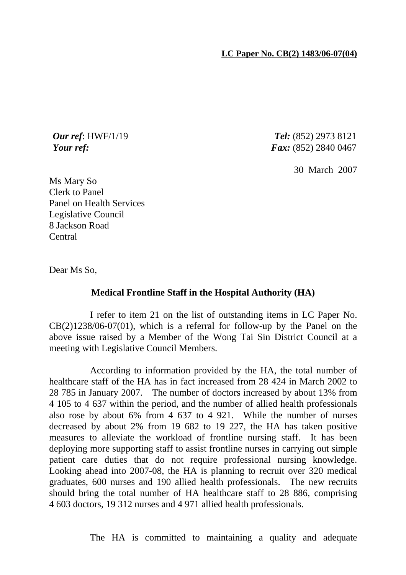*Our ref*: HWF/1/19 *Tel:* (852) 2973 8121 *Your ref: Fax:* (852) 2840 0467

30 March 2007

Ms Mary So Clerk to Panel Panel on Health Services Legislative Council 8 Jackson Road Central

Dear Ms So,

## **Medical Frontline Staff in the Hospital Authority (HA)**

 I refer to item 21 on the list of outstanding items in LC Paper No.  $CB(2)1238/06-07(01)$ , which is a referral for follow-up by the Panel on the above issue raised by a Member of the Wong Tai Sin District Council at a meeting with Legislative Council Members.

 According to information provided by the HA, the total number of healthcare staff of the HA has in fact increased from 28 424 in March 2002 to 28 785 in January 2007. The number of doctors increased by about 13% from 4 105 to 4 637 within the period, and the number of allied health professionals also rose by about 6% from 4 637 to 4 921. While the number of nurses decreased by about 2% from 19 682 to 19 227, the HA has taken positive measures to alleviate the workload of frontline nursing staff. It has been deploying more supporting staff to assist frontline nurses in carrying out simple patient care duties that do not require professional nursing knowledge. Looking ahead into 2007-08, the HA is planning to recruit over 320 medical graduates, 600 nurses and 190 allied health professionals. The new recruits should bring the total number of HA healthcare staff to 28 886, comprising 4 603 doctors, 19 312 nurses and 4 971 allied health professionals.

The HA is committed to maintaining a quality and adequate